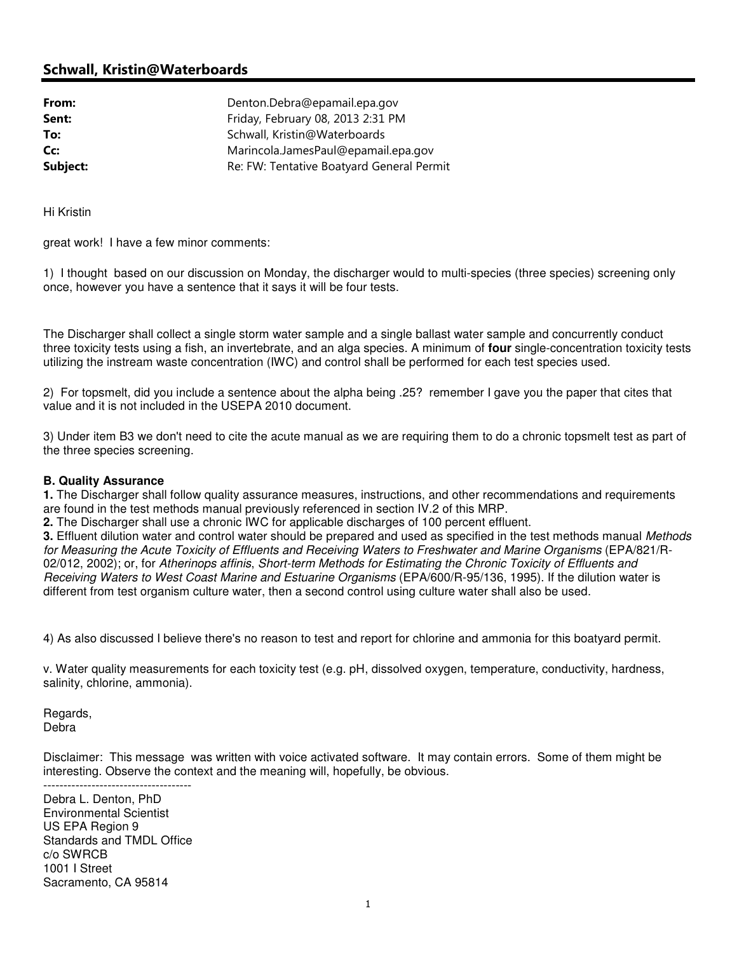## Schwall, Kristin@Waterboards

| Denton.Debra@epamail.epa.gov              |
|-------------------------------------------|
| Friday, February 08, 2013 2:31 PM         |
| Schwall, Kristin@Waterboards              |
| Marincola.JamesPaul@epamail.epa.gov       |
| Re: FW: Tentative Boatyard General Permit |
|                                           |

Hi Kristin

great work! I have a few minor comments:

1) I thought based on our discussion on Monday, the discharger would to multi-species (three species) screening only once, however you have a sentence that it says it will be four tests.

The Discharger shall collect a single storm water sample and a single ballast water sample and concurrently conduct three toxicity tests using a fish, an invertebrate, and an alga species. A minimum of **four** single-concentration toxicity tests utilizing the instream waste concentration (IWC) and control shall be performed for each test species used.

2) For topsmelt, did you include a sentence about the alpha being .25? remember I gave you the paper that cites that value and it is not included in the USEPA 2010 document.

3) Under item B3 we don't need to cite the acute manual as we are requiring them to do a chronic topsmelt test as part of the three species screening.

## **B. Quality Assurance**

**1.** The Discharger shall follow quality assurance measures, instructions, and other recommendations and requirements are found in the test methods manual previously referenced in section IV.2 of this MRP.

**2.** The Discharger shall use a chronic IWC for applicable discharges of 100 percent effluent.

**3.** Effluent dilution water and control water should be prepared and used as specified in the test methods manual Methods for Measuring the Acute Toxicity of Effluents and Receiving Waters to Freshwater and Marine Organisms (EPA/821/R-02/012, 2002); or, for Atherinops affinis, Short-term Methods for Estimating the Chronic Toxicity of Effluents and Receiving Waters to West Coast Marine and Estuarine Organisms (EPA/600/R-95/136, 1995). If the dilution water is different from test organism culture water, then a second control using culture water shall also be used.

4) As also discussed I believe there's no reason to test and report for chlorine and ammonia for this boatyard permit.

v. Water quality measurements for each toxicity test (e.g. pH, dissolved oxygen, temperature, conductivity, hardness, salinity, chlorine, ammonia).

Regards, Debra

Disclaimer: This message was written with voice activated software. It may contain errors. Some of them might be interesting. Observe the context and the meaning will, hopefully, be obvious. -------------------------------------

Debra L. Denton, PhD Environmental Scientist US EPA Region 9 Standards and TMDL Office c/o SWRCB 1001 I Street Sacramento, CA 95814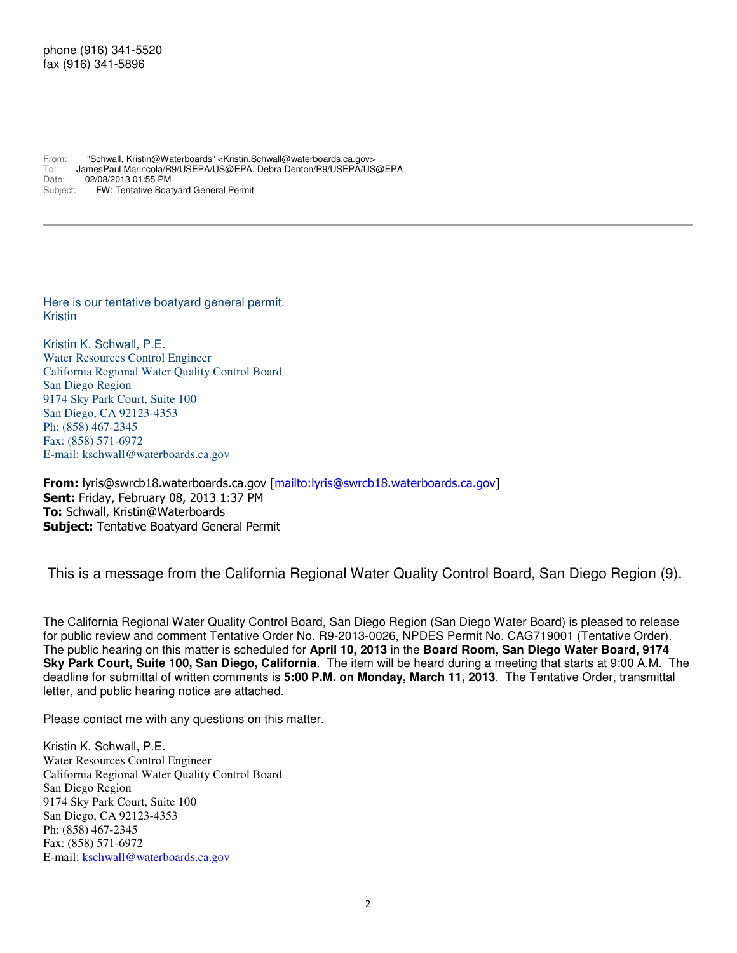## phone (916) 341-5520 fax (916) 341-5896

From: "Schwall, Kristin@Waterboards" <Kristin.Schwall@waterboards.ca.gov> To: JamesPaul Marincola/R9/USEPA/US@EPA, Debra Denton/R9/USEPA/US@EPA<br>Date: 02/08/2013 01:55 PM Date: 02/08/2013 01:55 PM<br>Subject: FW: Tentative Boa FW: Tentative Boatyard General Permit

Here is our tentative boatyard general permit. Kristin

Kristin K. Schwall, P.E. Water Resources Control Engineer California Regional Water Quality Control Board San Diego Region 9174 Sky Park Court, Suite 100 San Diego, CA 92123-4353 Ph: (858) 467-2345 Fax: (858) 571-6972 E-mail: kschwall@waterboards.ca.gov

From: lyris@swrcb18.waterboards.ca.gov [mailto:lyris@swrcb18.waterboards.ca.gov] Sent: Friday, February 08, 2013 1:37 PM To: Schwall, Kristin@Waterboards **Subject: Tentative Boatyard General Permit** 

This is a message from the California Regional Water Quality Control Board, San Diego Region (9).

The California Regional Water Quality Control Board, San Diego Region (San Diego Water Board) is pleased to release for public review and comment Tentative Order No. R9-2013-0026, NPDES Permit No. CAG719001 (Tentative Order). The public hearing on this matter is scheduled for **April 10, 2013** in the **Board Room, San Diego Water Board, 9174 Sky Park Court, Suite 100, San Diego, California**. The item will be heard during a meeting that starts at 9:00 A.M. The deadline for submittal of written comments is **5:00 P.M. on Monday, March 11, 2013**. The Tentative Order, transmittal letter, and public hearing notice are attached.

Please contact me with any questions on this matter.

Kristin K. Schwall, P.E. Water Resources Control Engineer California Regional Water Quality Control Board San Diego Region 9174 Sky Park Court, Suite 100 San Diego, CA 92123-4353 Ph: (858) 467-2345 Fax: (858) 571-6972 E-mail: kschwall@waterboards.ca.gov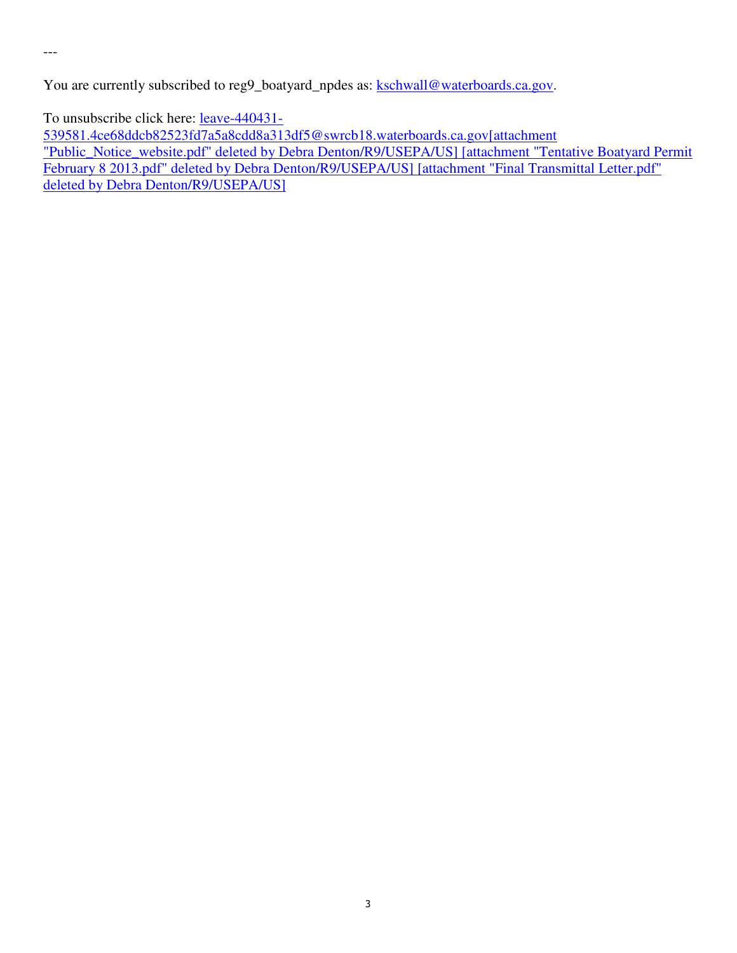---

You are currently subscribed to reg9\_boatyard\_npdes as: kschwall@waterboards.ca.gov.

To unsubscribe click here: <u>leave-440431-</u>

539581.4ce68ddcb82523fd7a5a8cdd8a313df5@swrcb18.waterboards.ca.gov[attachment "Public\_Notice\_website.pdf" deleted by Debra Denton/R9/USEPA/US] [attachment "Tentative Boatyard Permit February 8 2013.pdf" deleted by Debra Denton/R9/USEPA/US] [attachment "Final Transmittal Letter.pdf" deleted by Debra Denton/R9/USEPA/US]